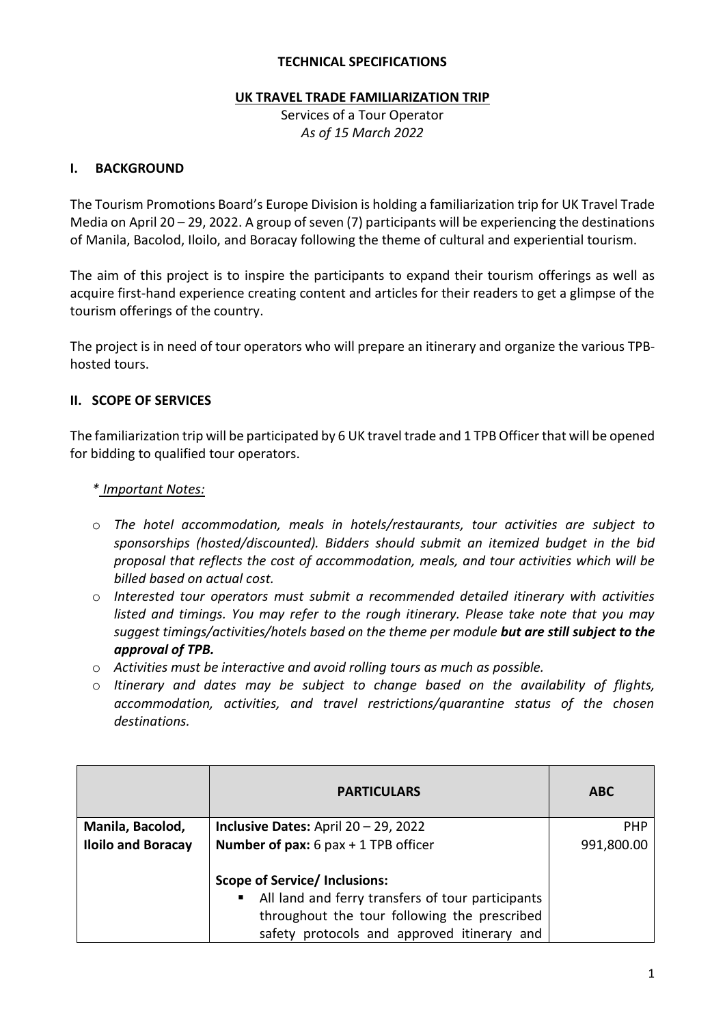#### **TECHNICAL SPECIFICATIONS**

#### **UK TRAVEL TRADE FAMILIARIZATION TRIP**

Services of a Tour Operator *As of 15 March 2022*

#### **I. BACKGROUND**

The Tourism Promotions Board's Europe Division is holding a familiarization trip for UK Travel Trade Media on April 20 – 29, 2022. A group of seven (7) participants will be experiencing the destinations of Manila, Bacolod, Iloilo, and Boracay following the theme of cultural and experiential tourism.

The aim of this project is to inspire the participants to expand their tourism offerings as well as acquire first-hand experience creating content and articles for their readers to get a glimpse of the tourism offerings of the country.

The project is in need of tour operators who will prepare an itinerary and organize the various TPBhosted tours.

#### **II. SCOPE OF SERVICES**

The familiarization trip will be participated by 6 UK travel trade and 1 TPB Officer that will be opened for bidding to qualified tour operators.

#### *\* Important Notes:*

- o *The hotel accommodation, meals in hotels/restaurants, tour activities are subject to sponsorships (hosted/discounted). Bidders should submit an itemized budget in the bid proposal that reflects the cost of accommodation, meals, and tour activities which will be billed based on actual cost.*
- o *Interested tour operators must submit a recommended detailed itinerary with activities listed and timings. You may refer to the rough itinerary. Please take note that you may suggest timings/activities/hotels based on the theme per module but are still subject to the approval of TPB.*
- o *Activities must be interactive and avoid rolling tours as much as possible.*
- o *Itinerary and dates may be subject to change based on the availability of flights, accommodation, activities, and travel restrictions/quarantine status of the chosen destinations.*

|                           | <b>PARTICULARS</b>                                | <b>ABC</b> |
|---------------------------|---------------------------------------------------|------------|
| Manila, Bacolod,          | <b>Inclusive Dates:</b> April $20 - 29$ , 2022    | <b>PHP</b> |
| <b>Iloilo and Boracay</b> | Number of pax: $6$ pax + 1 TPB officer            | 991,800.00 |
|                           | <b>Scope of Service/Inclusions:</b>               |            |
|                           | All land and ferry transfers of tour participants |            |
|                           | throughout the tour following the prescribed      |            |
|                           | safety protocols and approved itinerary and       |            |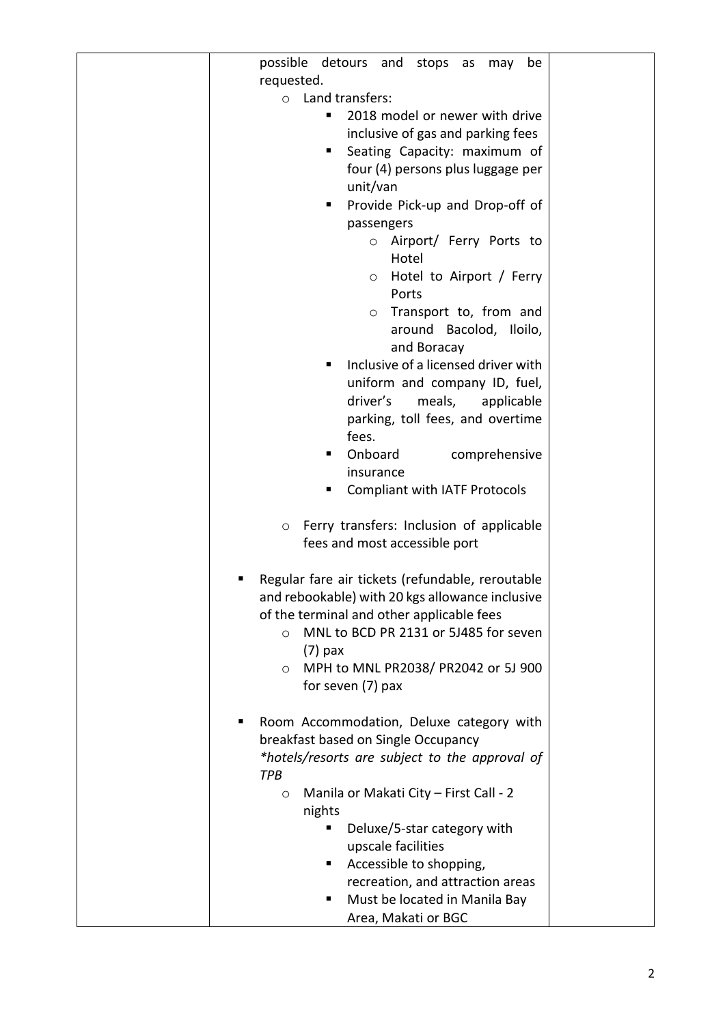| possible detours and stops as may<br>be             |  |
|-----------------------------------------------------|--|
| requested.                                          |  |
| Land transfers:<br>$\circ$                          |  |
| 2018 model or newer with drive                      |  |
| inclusive of gas and parking fees                   |  |
| Seating Capacity: maximum of<br>٠                   |  |
| four (4) persons plus luggage per                   |  |
| unit/van                                            |  |
| Provide Pick-up and Drop-off of<br>п                |  |
| passengers                                          |  |
| Airport/ Ferry Ports to<br>$\circ$                  |  |
| Hotel                                               |  |
| Hotel to Airport / Ferry<br>$\circ$                 |  |
| Ports                                               |  |
| Transport to, from and                              |  |
| O                                                   |  |
| around Bacolod, Iloilo,                             |  |
| and Boracay                                         |  |
| Inclusive of a licensed driver with<br>п            |  |
| uniform and company ID, fuel,                       |  |
| driver's<br>meals,<br>applicable                    |  |
| parking, toll fees, and overtime                    |  |
| fees.                                               |  |
| Onboard<br>comprehensive<br>٠                       |  |
| insurance                                           |  |
| <b>Compliant with IATF Protocols</b><br>٠           |  |
|                                                     |  |
| Ferry transfers: Inclusion of applicable<br>$\circ$ |  |
| fees and most accessible port                       |  |
|                                                     |  |
| Regular fare air tickets (refundable, reroutable    |  |
| and rebookable) with 20 kgs allowance inclusive     |  |
| of the terminal and other applicable fees           |  |
| MNL to BCD PR 2131 or 5J485 for seven<br>$\circ$    |  |
| $(7)$ pax                                           |  |
| MPH to MNL PR2038/ PR2042 or 5J 900<br>$\circ$      |  |
| for seven (7) pax                                   |  |
|                                                     |  |
| Room Accommodation, Deluxe category with            |  |
| breakfast based on Single Occupancy                 |  |
| *hotels/resorts are subject to the approval of      |  |
| TPB                                                 |  |
| Manila or Makati City - First Call - 2<br>$\circ$   |  |
| nights                                              |  |
| Deluxe/5-star category with<br>٠                    |  |
| upscale facilities                                  |  |
| Accessible to shopping,<br>٠                        |  |
| recreation, and attraction areas                    |  |
| Must be located in Manila Bay<br>٠                  |  |
| Area, Makati or BGC                                 |  |
|                                                     |  |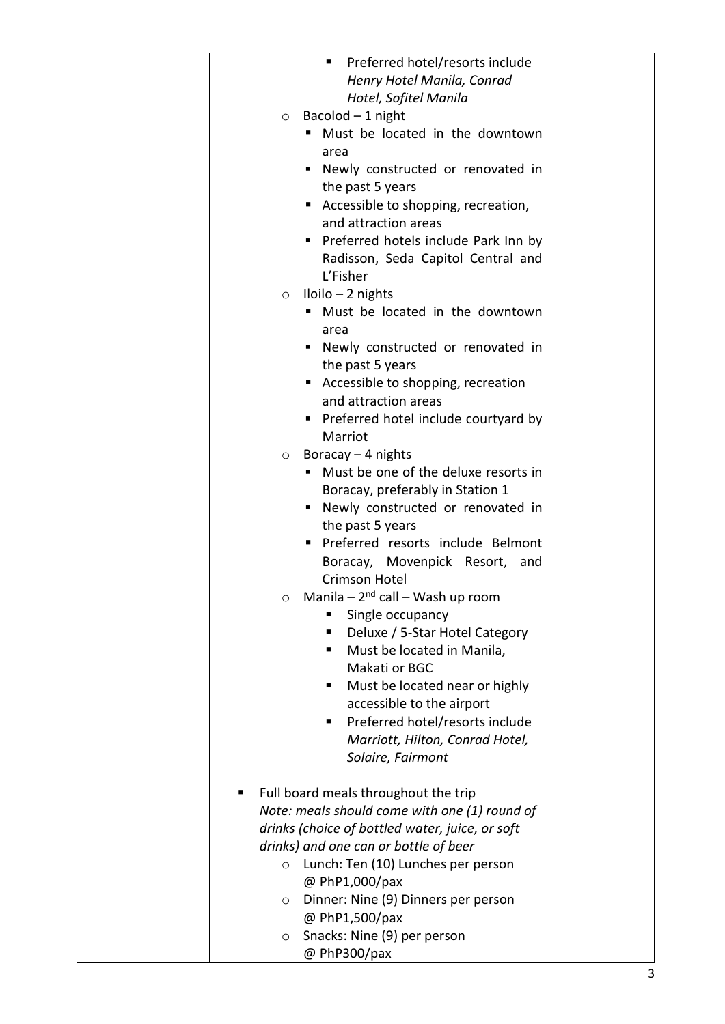| Preferred hotel/resorts include<br>٠            |  |
|-------------------------------------------------|--|
| Henry Hotel Manila, Conrad                      |  |
| Hotel, Sofitel Manila                           |  |
|                                                 |  |
| Bacolod $-1$ night<br>$\circ$                   |  |
| Must be located in the downtown<br>п            |  |
| area                                            |  |
| Newly constructed or renovated in<br>٠          |  |
| the past 5 years                                |  |
| Accessible to shopping, recreation,<br>٠        |  |
| and attraction areas                            |  |
|                                                 |  |
| Preferred hotels include Park Inn by            |  |
| Radisson, Seda Capitol Central and              |  |
| L'Fisher                                        |  |
| $Iloilo - 2 nights$<br>$\circ$                  |  |
| " Must be located in the downtown               |  |
|                                                 |  |
| area                                            |  |
| • Newly constructed or renovated in             |  |
| the past 5 years                                |  |
| ■ Accessible to shopping, recreation            |  |
| and attraction areas                            |  |
| • Preferred hotel include courtyard by          |  |
| Marriot                                         |  |
|                                                 |  |
| Boracay $-$ 4 nights<br>$\circ$                 |  |
| " Must be one of the deluxe resorts in          |  |
| Boracay, preferably in Station 1                |  |
| • Newly constructed or renovated in             |  |
| the past 5 years                                |  |
| Preferred resorts include Belmont               |  |
|                                                 |  |
| Boracay, Movenpick Resort, and                  |  |
| Crimson Hotel                                   |  |
| Manila $-2^{nd}$ call $-$ Wash up room          |  |
| Single occupancy<br>ш                           |  |
| Deluxe / 5-Star Hotel Category<br>٠             |  |
| Must be located in Manila,<br>٠                 |  |
| Makati or BGC                                   |  |
| ٠                                               |  |
| Must be located near or highly                  |  |
| accessible to the airport                       |  |
| Preferred hotel/resorts include<br>٠            |  |
| Marriott, Hilton, Conrad Hotel,                 |  |
| Solaire, Fairmont                               |  |
|                                                 |  |
| Full board meals throughout the trip<br>٠       |  |
| Note: meals should come with one (1) round of   |  |
|                                                 |  |
| drinks (choice of bottled water, juice, or soft |  |
| drinks) and one can or bottle of beer           |  |
| Lunch: Ten (10) Lunches per person<br>$\circ$   |  |
| @ PhP1,000/pax                                  |  |
| Dinner: Nine (9) Dinners per person<br>$\circ$  |  |
| @ PhP1,500/pax                                  |  |
| Snacks: Nine (9) per person<br>$\circ$          |  |
|                                                 |  |
| @ PhP300/pax                                    |  |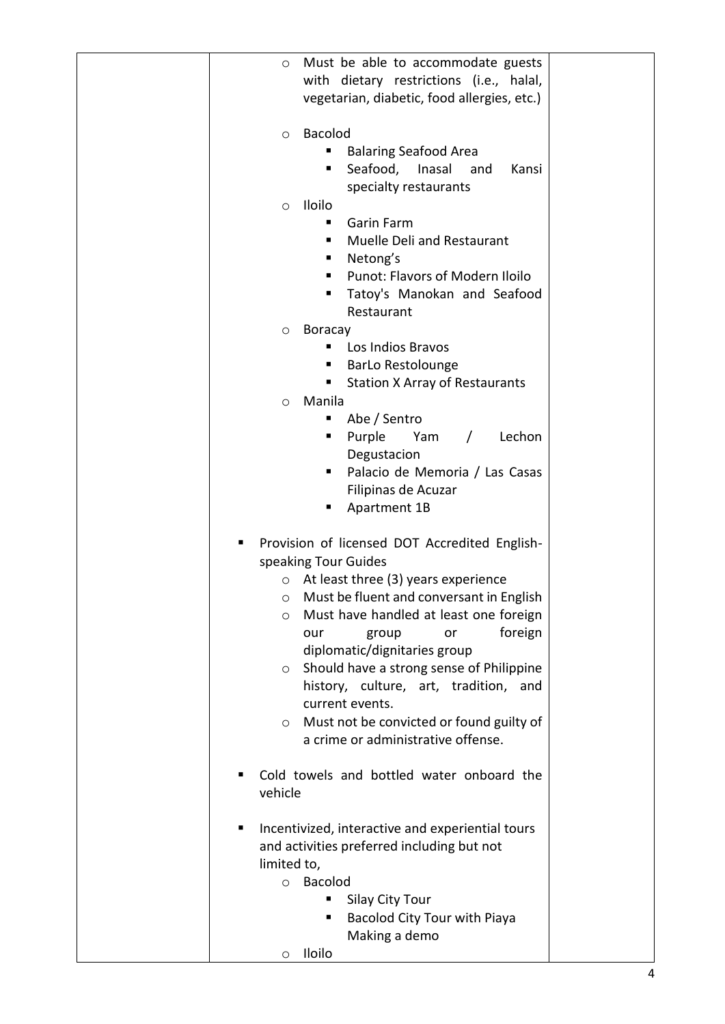| Must be able to accommodate guests<br>$\circ$<br>with dietary restrictions (i.e., halal,<br>vegetarian, diabetic, food allergies, etc.)<br><b>Bacolod</b><br>$\circ$<br><b>Balaring Seafood Area</b><br>Seafood,<br>Kansi<br>Inasal<br>п<br>and<br>specialty restaurants<br>Iloilo<br>$\circ$<br>Garin Farm<br>٠<br>Muelle Deli and Restaurant<br>٠<br>Netong's<br>٠<br>Punot: Flavors of Modern Iloilo<br>٠<br>Tatoy's Manokan and Seafood<br>Restaurant<br><b>Boracay</b><br>$\circ$<br>Los Indios Bravos<br><b>BarLo Restolounge</b><br><b>Station X Array of Restaurants</b><br>٠<br>Manila<br>$\circ$<br>Abe / Sentro<br>ш<br>Purple<br>Yam<br>$\sqrt{2}$<br>Lechon<br>٠<br>Degustacion<br>Palacio de Memoria / Las Casas<br>Filipinas de Acuzar<br>Apartment 1B<br>ш<br>Provision of licensed DOT Accredited English-<br>п<br>speaking Tour Guides<br>At least three (3) years experience<br>$\circ$<br>Must be fluent and conversant in English<br>O<br>Must have handled at least one foreign<br>O<br>foreign<br>group<br>our<br>or<br>diplomatic/dignitaries group<br>Should have a strong sense of Philippine<br>$\circ$<br>history, culture, art, tradition, and<br>current events.<br>Must not be convicted or found guilty of<br>$\circ$<br>a crime or administrative offense.<br>Cold towels and bottled water onboard the<br>vehicle<br>Incentivized, interactive and experiential tours<br>п<br>and activities preferred including but not<br>limited to,<br><b>Bacolod</b><br>$\circ$<br>Silay City Tour<br>Bacolod City Tour with Piaya<br>Making a demo<br>Iloilo<br>O |  |  |
|-------------------------------------------------------------------------------------------------------------------------------------------------------------------------------------------------------------------------------------------------------------------------------------------------------------------------------------------------------------------------------------------------------------------------------------------------------------------------------------------------------------------------------------------------------------------------------------------------------------------------------------------------------------------------------------------------------------------------------------------------------------------------------------------------------------------------------------------------------------------------------------------------------------------------------------------------------------------------------------------------------------------------------------------------------------------------------------------------------------------------------------------------------------------------------------------------------------------------------------------------------------------------------------------------------------------------------------------------------------------------------------------------------------------------------------------------------------------------------------------------------------------------------------------------------------------------------------------|--|--|
|                                                                                                                                                                                                                                                                                                                                                                                                                                                                                                                                                                                                                                                                                                                                                                                                                                                                                                                                                                                                                                                                                                                                                                                                                                                                                                                                                                                                                                                                                                                                                                                           |  |  |
|                                                                                                                                                                                                                                                                                                                                                                                                                                                                                                                                                                                                                                                                                                                                                                                                                                                                                                                                                                                                                                                                                                                                                                                                                                                                                                                                                                                                                                                                                                                                                                                           |  |  |
|                                                                                                                                                                                                                                                                                                                                                                                                                                                                                                                                                                                                                                                                                                                                                                                                                                                                                                                                                                                                                                                                                                                                                                                                                                                                                                                                                                                                                                                                                                                                                                                           |  |  |
|                                                                                                                                                                                                                                                                                                                                                                                                                                                                                                                                                                                                                                                                                                                                                                                                                                                                                                                                                                                                                                                                                                                                                                                                                                                                                                                                                                                                                                                                                                                                                                                           |  |  |
|                                                                                                                                                                                                                                                                                                                                                                                                                                                                                                                                                                                                                                                                                                                                                                                                                                                                                                                                                                                                                                                                                                                                                                                                                                                                                                                                                                                                                                                                                                                                                                                           |  |  |
|                                                                                                                                                                                                                                                                                                                                                                                                                                                                                                                                                                                                                                                                                                                                                                                                                                                                                                                                                                                                                                                                                                                                                                                                                                                                                                                                                                                                                                                                                                                                                                                           |  |  |
|                                                                                                                                                                                                                                                                                                                                                                                                                                                                                                                                                                                                                                                                                                                                                                                                                                                                                                                                                                                                                                                                                                                                                                                                                                                                                                                                                                                                                                                                                                                                                                                           |  |  |
|                                                                                                                                                                                                                                                                                                                                                                                                                                                                                                                                                                                                                                                                                                                                                                                                                                                                                                                                                                                                                                                                                                                                                                                                                                                                                                                                                                                                                                                                                                                                                                                           |  |  |
|                                                                                                                                                                                                                                                                                                                                                                                                                                                                                                                                                                                                                                                                                                                                                                                                                                                                                                                                                                                                                                                                                                                                                                                                                                                                                                                                                                                                                                                                                                                                                                                           |  |  |
|                                                                                                                                                                                                                                                                                                                                                                                                                                                                                                                                                                                                                                                                                                                                                                                                                                                                                                                                                                                                                                                                                                                                                                                                                                                                                                                                                                                                                                                                                                                                                                                           |  |  |
|                                                                                                                                                                                                                                                                                                                                                                                                                                                                                                                                                                                                                                                                                                                                                                                                                                                                                                                                                                                                                                                                                                                                                                                                                                                                                                                                                                                                                                                                                                                                                                                           |  |  |
|                                                                                                                                                                                                                                                                                                                                                                                                                                                                                                                                                                                                                                                                                                                                                                                                                                                                                                                                                                                                                                                                                                                                                                                                                                                                                                                                                                                                                                                                                                                                                                                           |  |  |
|                                                                                                                                                                                                                                                                                                                                                                                                                                                                                                                                                                                                                                                                                                                                                                                                                                                                                                                                                                                                                                                                                                                                                                                                                                                                                                                                                                                                                                                                                                                                                                                           |  |  |
|                                                                                                                                                                                                                                                                                                                                                                                                                                                                                                                                                                                                                                                                                                                                                                                                                                                                                                                                                                                                                                                                                                                                                                                                                                                                                                                                                                                                                                                                                                                                                                                           |  |  |
|                                                                                                                                                                                                                                                                                                                                                                                                                                                                                                                                                                                                                                                                                                                                                                                                                                                                                                                                                                                                                                                                                                                                                                                                                                                                                                                                                                                                                                                                                                                                                                                           |  |  |
|                                                                                                                                                                                                                                                                                                                                                                                                                                                                                                                                                                                                                                                                                                                                                                                                                                                                                                                                                                                                                                                                                                                                                                                                                                                                                                                                                                                                                                                                                                                                                                                           |  |  |
|                                                                                                                                                                                                                                                                                                                                                                                                                                                                                                                                                                                                                                                                                                                                                                                                                                                                                                                                                                                                                                                                                                                                                                                                                                                                                                                                                                                                                                                                                                                                                                                           |  |  |
|                                                                                                                                                                                                                                                                                                                                                                                                                                                                                                                                                                                                                                                                                                                                                                                                                                                                                                                                                                                                                                                                                                                                                                                                                                                                                                                                                                                                                                                                                                                                                                                           |  |  |
|                                                                                                                                                                                                                                                                                                                                                                                                                                                                                                                                                                                                                                                                                                                                                                                                                                                                                                                                                                                                                                                                                                                                                                                                                                                                                                                                                                                                                                                                                                                                                                                           |  |  |
|                                                                                                                                                                                                                                                                                                                                                                                                                                                                                                                                                                                                                                                                                                                                                                                                                                                                                                                                                                                                                                                                                                                                                                                                                                                                                                                                                                                                                                                                                                                                                                                           |  |  |
|                                                                                                                                                                                                                                                                                                                                                                                                                                                                                                                                                                                                                                                                                                                                                                                                                                                                                                                                                                                                                                                                                                                                                                                                                                                                                                                                                                                                                                                                                                                                                                                           |  |  |
|                                                                                                                                                                                                                                                                                                                                                                                                                                                                                                                                                                                                                                                                                                                                                                                                                                                                                                                                                                                                                                                                                                                                                                                                                                                                                                                                                                                                                                                                                                                                                                                           |  |  |
|                                                                                                                                                                                                                                                                                                                                                                                                                                                                                                                                                                                                                                                                                                                                                                                                                                                                                                                                                                                                                                                                                                                                                                                                                                                                                                                                                                                                                                                                                                                                                                                           |  |  |
|                                                                                                                                                                                                                                                                                                                                                                                                                                                                                                                                                                                                                                                                                                                                                                                                                                                                                                                                                                                                                                                                                                                                                                                                                                                                                                                                                                                                                                                                                                                                                                                           |  |  |
|                                                                                                                                                                                                                                                                                                                                                                                                                                                                                                                                                                                                                                                                                                                                                                                                                                                                                                                                                                                                                                                                                                                                                                                                                                                                                                                                                                                                                                                                                                                                                                                           |  |  |
|                                                                                                                                                                                                                                                                                                                                                                                                                                                                                                                                                                                                                                                                                                                                                                                                                                                                                                                                                                                                                                                                                                                                                                                                                                                                                                                                                                                                                                                                                                                                                                                           |  |  |
|                                                                                                                                                                                                                                                                                                                                                                                                                                                                                                                                                                                                                                                                                                                                                                                                                                                                                                                                                                                                                                                                                                                                                                                                                                                                                                                                                                                                                                                                                                                                                                                           |  |  |
|                                                                                                                                                                                                                                                                                                                                                                                                                                                                                                                                                                                                                                                                                                                                                                                                                                                                                                                                                                                                                                                                                                                                                                                                                                                                                                                                                                                                                                                                                                                                                                                           |  |  |
|                                                                                                                                                                                                                                                                                                                                                                                                                                                                                                                                                                                                                                                                                                                                                                                                                                                                                                                                                                                                                                                                                                                                                                                                                                                                                                                                                                                                                                                                                                                                                                                           |  |  |
|                                                                                                                                                                                                                                                                                                                                                                                                                                                                                                                                                                                                                                                                                                                                                                                                                                                                                                                                                                                                                                                                                                                                                                                                                                                                                                                                                                                                                                                                                                                                                                                           |  |  |
|                                                                                                                                                                                                                                                                                                                                                                                                                                                                                                                                                                                                                                                                                                                                                                                                                                                                                                                                                                                                                                                                                                                                                                                                                                                                                                                                                                                                                                                                                                                                                                                           |  |  |
|                                                                                                                                                                                                                                                                                                                                                                                                                                                                                                                                                                                                                                                                                                                                                                                                                                                                                                                                                                                                                                                                                                                                                                                                                                                                                                                                                                                                                                                                                                                                                                                           |  |  |
|                                                                                                                                                                                                                                                                                                                                                                                                                                                                                                                                                                                                                                                                                                                                                                                                                                                                                                                                                                                                                                                                                                                                                                                                                                                                                                                                                                                                                                                                                                                                                                                           |  |  |
|                                                                                                                                                                                                                                                                                                                                                                                                                                                                                                                                                                                                                                                                                                                                                                                                                                                                                                                                                                                                                                                                                                                                                                                                                                                                                                                                                                                                                                                                                                                                                                                           |  |  |
|                                                                                                                                                                                                                                                                                                                                                                                                                                                                                                                                                                                                                                                                                                                                                                                                                                                                                                                                                                                                                                                                                                                                                                                                                                                                                                                                                                                                                                                                                                                                                                                           |  |  |
|                                                                                                                                                                                                                                                                                                                                                                                                                                                                                                                                                                                                                                                                                                                                                                                                                                                                                                                                                                                                                                                                                                                                                                                                                                                                                                                                                                                                                                                                                                                                                                                           |  |  |
|                                                                                                                                                                                                                                                                                                                                                                                                                                                                                                                                                                                                                                                                                                                                                                                                                                                                                                                                                                                                                                                                                                                                                                                                                                                                                                                                                                                                                                                                                                                                                                                           |  |  |
|                                                                                                                                                                                                                                                                                                                                                                                                                                                                                                                                                                                                                                                                                                                                                                                                                                                                                                                                                                                                                                                                                                                                                                                                                                                                                                                                                                                                                                                                                                                                                                                           |  |  |
|                                                                                                                                                                                                                                                                                                                                                                                                                                                                                                                                                                                                                                                                                                                                                                                                                                                                                                                                                                                                                                                                                                                                                                                                                                                                                                                                                                                                                                                                                                                                                                                           |  |  |
|                                                                                                                                                                                                                                                                                                                                                                                                                                                                                                                                                                                                                                                                                                                                                                                                                                                                                                                                                                                                                                                                                                                                                                                                                                                                                                                                                                                                                                                                                                                                                                                           |  |  |
|                                                                                                                                                                                                                                                                                                                                                                                                                                                                                                                                                                                                                                                                                                                                                                                                                                                                                                                                                                                                                                                                                                                                                                                                                                                                                                                                                                                                                                                                                                                                                                                           |  |  |
|                                                                                                                                                                                                                                                                                                                                                                                                                                                                                                                                                                                                                                                                                                                                                                                                                                                                                                                                                                                                                                                                                                                                                                                                                                                                                                                                                                                                                                                                                                                                                                                           |  |  |
|                                                                                                                                                                                                                                                                                                                                                                                                                                                                                                                                                                                                                                                                                                                                                                                                                                                                                                                                                                                                                                                                                                                                                                                                                                                                                                                                                                                                                                                                                                                                                                                           |  |  |
|                                                                                                                                                                                                                                                                                                                                                                                                                                                                                                                                                                                                                                                                                                                                                                                                                                                                                                                                                                                                                                                                                                                                                                                                                                                                                                                                                                                                                                                                                                                                                                                           |  |  |
|                                                                                                                                                                                                                                                                                                                                                                                                                                                                                                                                                                                                                                                                                                                                                                                                                                                                                                                                                                                                                                                                                                                                                                                                                                                                                                                                                                                                                                                                                                                                                                                           |  |  |
|                                                                                                                                                                                                                                                                                                                                                                                                                                                                                                                                                                                                                                                                                                                                                                                                                                                                                                                                                                                                                                                                                                                                                                                                                                                                                                                                                                                                                                                                                                                                                                                           |  |  |
|                                                                                                                                                                                                                                                                                                                                                                                                                                                                                                                                                                                                                                                                                                                                                                                                                                                                                                                                                                                                                                                                                                                                                                                                                                                                                                                                                                                                                                                                                                                                                                                           |  |  |
|                                                                                                                                                                                                                                                                                                                                                                                                                                                                                                                                                                                                                                                                                                                                                                                                                                                                                                                                                                                                                                                                                                                                                                                                                                                                                                                                                                                                                                                                                                                                                                                           |  |  |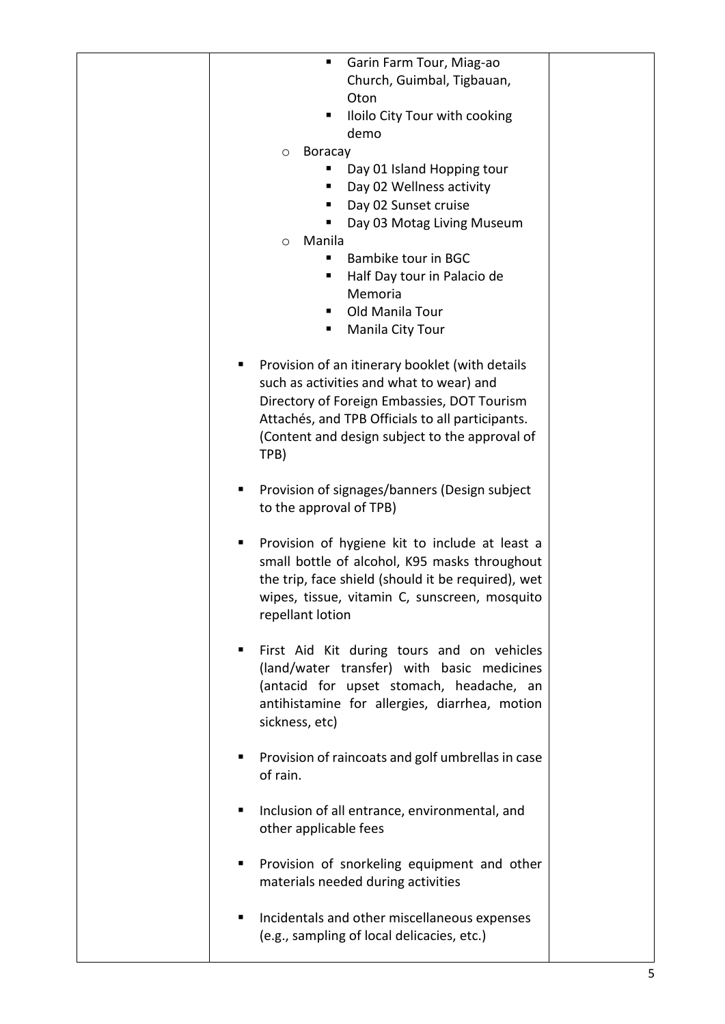| Garin Farm Tour, Miag-ao<br>٠                          |  |
|--------------------------------------------------------|--|
| Church, Guimbal, Tigbauan,                             |  |
| Oton                                                   |  |
| Iloilo City Tour with cooking<br>ш                     |  |
| demo                                                   |  |
| <b>Boracay</b><br>O                                    |  |
| Day 01 Island Hopping tour                             |  |
| Day 02 Wellness activity                               |  |
| Day 02 Sunset cruise                                   |  |
| Day 03 Motag Living Museum                             |  |
| Manila<br>$\circ$                                      |  |
| Bambike tour in BGC<br>■                               |  |
| Half Day tour in Palacio de                            |  |
| Memoria                                                |  |
| Old Manila Tour<br>■                                   |  |
| Manila City Tour<br>ш                                  |  |
|                                                        |  |
| Provision of an itinerary booklet (with details<br>ш   |  |
| such as activities and what to wear) and               |  |
| Directory of Foreign Embassies, DOT Tourism            |  |
| Attachés, and TPB Officials to all participants.       |  |
| (Content and design subject to the approval of         |  |
| TPB)                                                   |  |
|                                                        |  |
| Provision of signages/banners (Design subject<br>■     |  |
| to the approval of TPB)                                |  |
|                                                        |  |
| Provision of hygiene kit to include at least a<br>п    |  |
| small bottle of alcohol, K95 masks throughout          |  |
| the trip, face shield (should it be required), wet     |  |
| wipes, tissue, vitamin C, sunscreen, mosquito          |  |
| repellant lotion                                       |  |
|                                                        |  |
| First Aid Kit during tours and on vehicles             |  |
| (land/water transfer) with basic medicines             |  |
| (antacid for upset stomach, headache, an               |  |
| antihistamine for allergies, diarrhea, motion          |  |
| sickness, etc)                                         |  |
|                                                        |  |
| Provision of raincoats and golf umbrellas in case<br>ш |  |
| of rain.                                               |  |
| Inclusion of all entrance, environmental, and<br>ш     |  |
|                                                        |  |
| other applicable fees                                  |  |
| Provision of snorkeling equipment and other<br>ш       |  |
| materials needed during activities                     |  |
|                                                        |  |
| Incidentals and other miscellaneous expenses<br>п      |  |
| (e.g., sampling of local delicacies, etc.)             |  |
|                                                        |  |
|                                                        |  |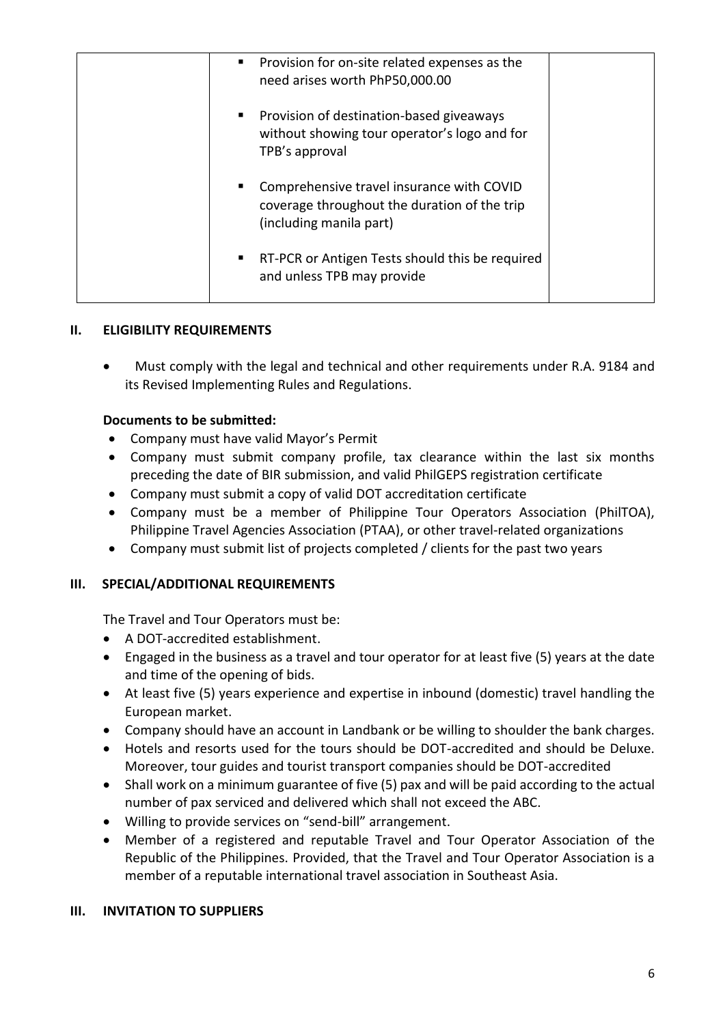| • Provision for on-site related expenses as the<br>need arises worth PhP50,000.00                                    |  |
|----------------------------------------------------------------------------------------------------------------------|--|
| • Provision of destination-based giveaways<br>without showing tour operator's logo and for<br>TPB's approval         |  |
| Comprehensive travel insurance with COVID<br>coverage throughout the duration of the trip<br>(including manila part) |  |
| RT-PCR or Antigen Tests should this be required<br>п.<br>and unless TPB may provide                                  |  |

# **II. ELIGIBILITY REQUIREMENTS**

• Must comply with the legal and technical and other requirements under R.A. 9184 and its Revised Implementing Rules and Regulations.

# **Documents to be submitted:**

- Company must have valid Mayor's Permit
- Company must submit company profile, tax clearance within the last six months preceding the date of BIR submission, and valid PhilGEPS registration certificate
- Company must submit a copy of valid DOT accreditation certificate
- Company must be a member of Philippine Tour Operators Association (PhilTOA), Philippine Travel Agencies Association (PTAA), or other travel-related organizations
- Company must submit list of projects completed / clients for the past two years

# **III. SPECIAL/ADDITIONAL REQUIREMENTS**

The Travel and Tour Operators must be:

- A DOT-accredited establishment.
- Engaged in the business as a travel and tour operator for at least five (5) years at the date and time of the opening of bids.
- At least five (5) years experience and expertise in inbound (domestic) travel handling the European market.
- Company should have an account in Landbank or be willing to shoulder the bank charges.
- Hotels and resorts used for the tours should be DOT-accredited and should be Deluxe. Moreover, tour guides and tourist transport companies should be DOT-accredited
- Shall work on a minimum guarantee of five (5) pax and will be paid according to the actual number of pax serviced and delivered which shall not exceed the ABC.
- Willing to provide services on "send-bill" arrangement.
- Member of a registered and reputable Travel and Tour Operator Association of the Republic of the Philippines. Provided, that the Travel and Tour Operator Association is a member of a reputable international travel association in Southeast Asia.

# **III. INVITATION TO SUPPLIERS**